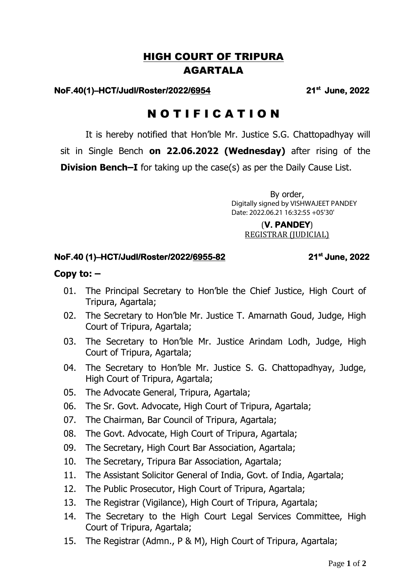## HIGH COURT OF TRIPURA AGARTALA

### **NoF.40(1)–HCT/Judl/Roster/2022/6954 21**

#### **st June, 2022**

# N O T I F I C A T I O N

It is hereby notified that Hon'ble Mr. Justice S.G. Chattopadhyay will sit in Single Bench **on 22.06.2022 (Wednesday)** after rising of the **Division Bench–I** for taking up the case(s) as per the Daily Cause List.

> By order, Digitally signed by VISHWAJEET PANDEY Date: 2022.06.21 16:32:55 +05'30'

(**V. PANDEY**) REGISTRAR (JUDICIAL)

### **NoF.40 (1)–HCT/Judl/Roster/2022/6955-82 21st**

 **June, 2022** 

### **Copy to: –**

- 01. The Principal Secretary to Hon'ble the Chief Justice, High Court of Tripura, Agartala;
- 02. The Secretary to Hon'ble Mr. Justice T. Amarnath Goud, Judge, High Court of Tripura, Agartala;
- 03. The Secretary to Hon'ble Mr. Justice Arindam Lodh, Judge, High Court of Tripura, Agartala;
- 04. The Secretary to Hon'ble Mr. Justice S. G. Chattopadhyay, Judge, High Court of Tripura, Agartala;
- 05. The Advocate General, Tripura, Agartala;
- 06. The Sr. Govt. Advocate, High Court of Tripura, Agartala;
- 07. The Chairman, Bar Council of Tripura, Agartala;
- 08. The Govt. Advocate, High Court of Tripura, Agartala;
- 09. The Secretary, High Court Bar Association, Agartala;
- 10. The Secretary, Tripura Bar Association, Agartala;
- 11. The Assistant Solicitor General of India, Govt. of India, Agartala;
- 12. The Public Prosecutor, High Court of Tripura, Agartala;
- 13. The Registrar (Vigilance), High Court of Tripura, Agartala;
- 14. The Secretary to the High Court Legal Services Committee, High Court of Tripura, Agartala;
- 15. The Registrar (Admn., P & M), High Court of Tripura, Agartala;